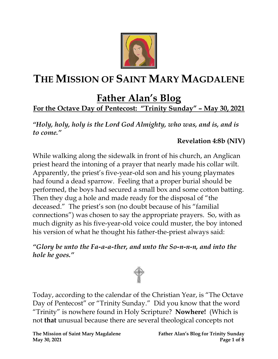

# **THE MISSION OF SAINT MARY MAGDALENE**

## **Father Alan's Blog**

## **For the Octave Day of Pentecost: "Trinity Sunday" – May 30, 2021**

*"Holy, holy, holy is the Lord God Almighty, who was, and is, and is to come."*

#### **Revelation 4:8b (NIV)**

While walking along the sidewalk in front of his church, an Anglican priest heard the intoning of a prayer that nearly made his collar wilt. Apparently, the priest's five-year-old son and his young playmates had found a dead sparrow. Feeling that a proper burial should be performed, the boys had secured a small box and some cotton batting. Then they dug a hole and made ready for the disposal of "the deceased." The priest's son (no doubt because of his "familial connections") was chosen to say the appropriate prayers. So, with as much dignity as his five-year-old voice could muster, the boy intoned his version of what he thought his father-the-priest always said:

*"Glory be unto the Fa-a-a-ther, and unto the So-n-n-n, and into the hole he goes."*



Today, according to the calendar of the Christian Year, is "The Octave Day of Pentecost" or "Trinity Sunday." Did you know that the word "Trinity" is nowhere found in Holy Scripture? **Nowhere!** (Which is not **that** unusual because there are several theological concepts not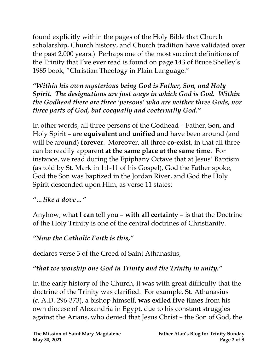found explicitly within the pages of the Holy Bible that Church scholarship, Church history, and Church tradition have validated over the past 2,000 years.) Perhaps one of the most succinct definitions of the Trinity that I've ever read is found on page 143 of Bruce Shelley's 1985 book, "Christian Theology in Plain Language:"

*"Within his own mysterious being God is Father, Son, and Holy Spirit. The designations are just ways in which God is God. Within the Godhead there are three 'persons' who are neither three Gods, nor three parts of God, but coequally and coeternally God."*

In other words, all three persons of the Godhead – Father, Son, and Holy Spirit – are **equivalent** and **unified** and have been around (and will be around) **forever**. Moreover, all three **co-exist**, in that all three can be readily apparent **at the same place at the same time**. For instance, we read during the Epiphany Octave that at Jesus' Baptism (as told by St. Mark in 1:1-11 of his Gospel), God the Father spoke, God the Son was baptized in the Jordan River, and God the Holy Spirit descended upon Him, as verse 11 states:

#### *"…like a dove…"*

Anyhow, what I **can** tell you – **with all certainty** – is that the Doctrine of the Holy Trinity is one of the central doctrines of Christianity.

## *"Now the Catholic Faith is this, "*

declares verse 3 of the Creed of Saint Athanasius,

### *"that we worship one God in Trinity and the Trinity in unity."*

In the early history of the Church, it was with great difficulty that the doctrine of the Trinity was clarified. For example, St. Athanasius (*c*. A.D. 296-373), a bishop himself, **was exiled five times** from his own diocese of Alexandria in Egypt, due to his constant struggles against the Arians, who denied that Jesus Christ – the Son of God, the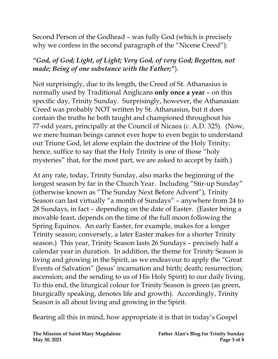Second Person of the Godhead – was fully God (which is precisely why we confess in the second paragraph of the "Nicene Creed"):

#### *"God, of God; Light, of Light; Very God, of very God; Begotten, not made; Being of one substance with the Father;"*).

Not surprisingly, due to its length, the Creed of St. Athanasius is normally used by Traditional Anglicans **only once a year** – on this specific day, Trinity Sunday. Surprisingly, however, the Athanasian Creed was probably NOT written by St. Athanasius, but it does contain the truths he both taught and championed throughout his 77-odd years, principally at the Council of Nicaea (*c*. A.D. 325). (Now, we mere human beings cannot ever hope to even begin to understand our Triune God, let alone explain the doctrine of the Holy Trinity; hence, suffice to say that the Holy Trinity is one of those "holy mysteries" that, for the most part, we are asked to accept by faith.)

At any rate, today, Trinity Sunday, also marks the beginning of the longest season by far in the Church Year. Including "Stir-up Sunday" (otherwise known as "The Sunday Next Before Advent"), Trinity Season can last virtually "a month of Sundays" – anywhere from 24 to 28 Sundays, in fact – depending on the date of Easter. (Easter being a movable feast, depends on the time of the full moon following the Spring Equinox. An early Easter, for example, makes for a longer Trinity season; conversely, a later Easter makes for a shorter Trinity season.) This year, Trinity Season lasts 26 Sundays – precisely half a calendar year in duration. In addition, the theme for Trinity Season is living and growing in the Spirit, as we endeavour to apply the "Great Events of Salvation" (Jesus' incarnation and birth; death; resurrection; ascension; and the sending to us of His Holy Spirit) to our daily living. To this end, the liturgical colour for Trinity Season is green (as green, liturgically speaking, denotes life and growth). Accordingly, Trinity Season is all about living and growing in the Spirit.

Bearing all this in mind, how appropriate it is that in today's Gospel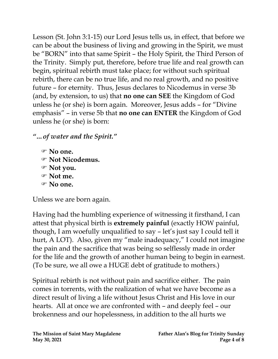Lesson (St. John 3:1-15) our Lord Jesus tells us, in effect, that before we can be about the business of living and growing in the Spirit, we must be "BORN" into that same Spirit – the Holy Spirit, the Third Person of the Trinity. Simply put, therefore, before true life and real growth can begin, spiritual rebirth must take place; for without such spiritual rebirth, there can be no true life, and no real growth, and no positive future – for eternity. Thus, Jesus declares to Nicodemus in verse 3b (and, by extension, to us) that **no one can SEE** the Kingdom of God unless he (or she) is born again. Moreover, Jesus adds – for "Divine emphasis" – in verse 5b that **no one can ENTER** the Kingdom of God unless he (or she) is born:

*"…of water and the Spirit."* 

 **No one. Not Nicodemus. Not you. Not me. No one.**

Unless we are born again.

Having had the humbling experience of witnessing it firsthand, I can attest that physical birth is **extremely painful** (exactly HOW painful, though, I am woefully unqualified to say – let's just say I could tell it hurt, A LOT). Also, given my "male inadequacy," I could not imagine the pain and the sacrifice that was being so selflessly made in order for the life and the growth of another human being to begin in earnest. (To be sure, we all owe a HUGE debt of gratitude to mothers.)

Spiritual rebirth is not without pain and sacrifice either. The pain comes in torrents, with the realization of what we have become as a direct result of living a life without Jesus Christ and His love in our hearts. All at once we are confronted with – and deeply feel – our brokenness and our hopelessness, in addition to the all hurts we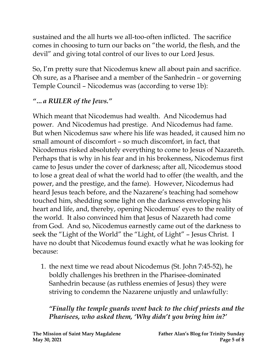sustained and the all hurts we all-too-often inflicted. The sacrifice comes in choosing to turn our backs on "the world, the flesh, and the devil" and giving total control of our lives to our Lord Jesus.

So, I'm pretty sure that Nicodemus knew all about pain and sacrifice. Oh sure, as a Pharisee and a member of the Sanhedrin – or governing Temple Council – Nicodemus was (according to verse 1b):

## *"…a RULER of the Jews."*

Which meant that Nicodemus had wealth. And Nicodemus had power. And Nicodemus had prestige. And Nicodemus had fame. But when Nicodemus saw where his life was headed, it caused him no small amount of discomfort – so much discomfort, in fact, that Nicodemus risked absolutely everything to come to Jesus of Nazareth. Perhaps that is why in his fear and in his brokenness, Nicodemus first came to Jesus under the cover of darkness; after all, Nicodemus stood to lose a great deal of what the world had to offer (the wealth, and the power, and the prestige, and the fame). However, Nicodemus had heard Jesus teach before, and the Nazarene's teaching had somehow touched him, shedding some light on the darkness enveloping his heart and life, and, thereby, opening Nicodemus' eyes to the reality of the world. It also convinced him that Jesus of Nazareth had come from God. And so, Nicodemus earnestly came out of the darkness to seek the "Light of the World" the "Light, of Light" – Jesus Christ. I have no doubt that Nicodemus found exactly what he was looking for because:

1. the next time we read about Nicodemus (St. John 7:45-52), he boldly challenges his brethren in the Pharisee-dominated Sanhedrin because (as ruthless enemies of Jesus) they were striving to condemn the Nazarene unjustly and unlawfully:

*"Finally the temple guards went back to the chief priests and the Pharisees, who asked them, 'Why didn't you bring him in?'*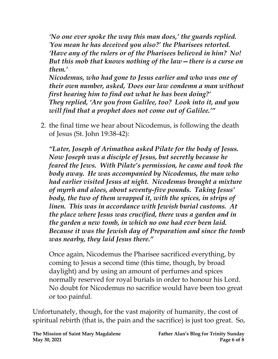*'No one ever spoke the way this man does,' the guards replied. 'You mean he has deceived you also?' the Pharisees retorted. 'Have any of the rulers or of the Pharisees believed in him? No! But this mob that knows nothing of the law—there is a curse on them.' Nicodemus, who had gone to Jesus earlier and who was one of* 

*their own number, asked, 'Does our law condemn a man without first hearing him to find out what he has been doing?' They replied, 'Are you from Galilee, too? Look into it, and you will find that a prophet does not come out of Galilee.'"*

2. the final time we hear about Nicodemus, is following the death of Jesus (St. John 19:38-42):

*"Later, Joseph of Arimathea asked Pilate for the body of Jesus. Now Joseph was a disciple of Jesus, but secretly because he feared the Jews. With Pilate's permission, he came and took the body away. He was accompanied by Nicodemus, the man who had earlier visited Jesus at night. Nicodemus brought a mixture of myrrh and aloes, about seventy-five pounds. Taking Jesus' body, the two of them wrapped it, with the spices, in strips of linen. This was in accordance with Jewish burial customs. At the place where Jesus was crucified, there was a garden and in the garden a new tomb, in which no one had ever been laid. Because it was the Jewish day of Preparation and since the tomb was nearby, they laid Jesus there."*

Once again, Nicodemus the Pharisee sacrificed everything, by coming to Jesus a second time (this time, though, by broad daylight) and by using an amount of perfumes and spices normally reserved for royal burials in order to honour his Lord. No doubt for Nicodemus no sacrifice would have been too great or too painful.

Unfortunately, though, for the vast majority of humanity, the cost of spiritual rebirth (that is, the pain and the sacrifice) is just too great. So,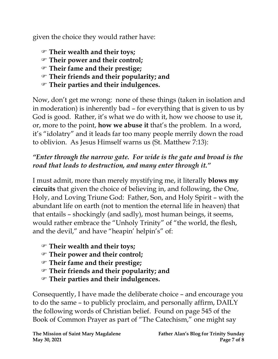given the choice they would rather have:

- **Their wealth and their toys;**
- **Their power and their control;**
- **Their fame and their prestige;**
- **Their friends and their popularity; and**
- **Their parties and their indulgences.**

Now, don't get me wrong: none of these things (taken in isolation and in moderation) is inherently bad – for everything that is given to us by God is good. Rather, it's what we do with it, how we choose to use it, or, more to the point, **how we abuse it** that's the problem. In a word, it's "idolatry" and it leads far too many people merrily down the road to oblivion. As Jesus Himself warns us (St. Matthew 7:13):

#### *"Enter through the narrow gate. For wide is the gate and broad is the road that leads to destruction, and many enter through it."*

I must admit, more than merely mystifying me, it literally **blows my circuits** that given the choice of believing in, and following, the One, Holy, and Loving Triune God: Father, Son, and Holy Spirit – with the abundant life on earth (not to mention the eternal life in heaven) that that entails – shockingly (and sadly), most human beings, it seems, would rather embrace the "Unholy Trinity" of "the world, the flesh, and the devil," and have "heapin' helpin's" of:

- **Their wealth and their toys;**
- **Their power and their control;**
- **Their fame and their prestige;**
- **Their friends and their popularity; and**
- **Their parties and their indulgences.**

Consequently, I have made the deliberate choice – and encourage you to do the same – to publicly proclaim, and personally affirm, DAILY the following words of Christian belief. Found on page 545 of the Book of Common Prayer as part of "The Catechism," one might say